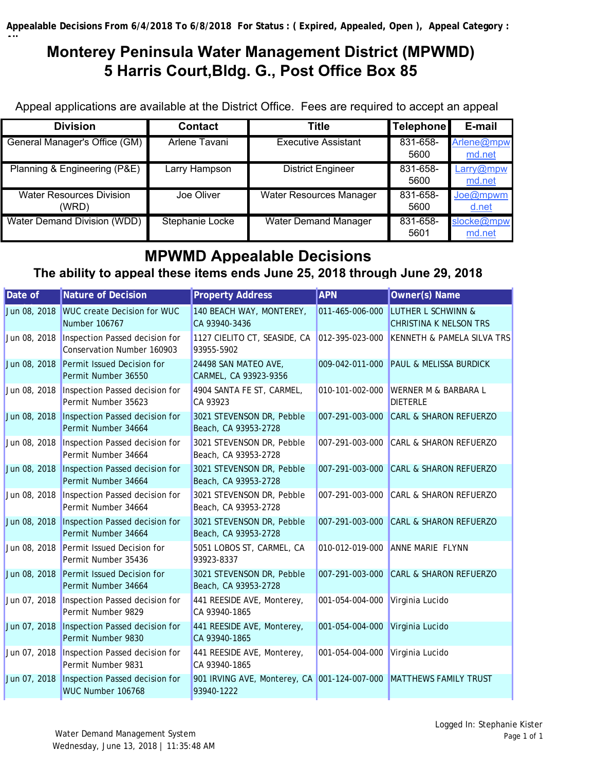# **Monterey Peninsula Water Management District (MPWMD) 5 Harris Court,Bldg. G., Post Office Box 85**

Appeal applications are available at the District Office. Fees are required to accept an appeal

| <b>Division</b>                 | <b>Contact</b>  | Title                          | <b>Telephone</b> | E-mail     |
|---------------------------------|-----------------|--------------------------------|------------------|------------|
| General Manager's Office (GM)   | Arlene Tavani   | <b>Executive Assistant</b>     | 831-658-         | Arlene@mpw |
|                                 |                 |                                | 5600             | md.net     |
| Planning & Engineering (P&E)    | Larry Hampson   | <b>District Engineer</b>       | 831-658-         | Larry@mpw  |
|                                 |                 |                                | 5600             | md.net     |
| <b>Water Resources Division</b> | Joe Oliver      | <b>Water Resources Manager</b> | 831-658-         | Joe@mpwm   |
| (WRD)                           |                 |                                | 5600             | d.net      |
| Water Demand Division (WDD)     | Stephanie Locke | <b>Water Demand Manager</b>    | 831-658-         | slocke@mpw |
|                                 |                 |                                | 5601             | md.net     |

## **MPWMD Appealable Decisions**

## **The ability to appeal these items ends June 25, 2018 through June 29, 2018**

| Date of      | Nature of Decision                                                   | <b>Property Address</b>                                    | <b>APN</b>      | <b>Owner(s) Name</b>                                           |
|--------------|----------------------------------------------------------------------|------------------------------------------------------------|-----------------|----------------------------------------------------------------|
| Jun 08, 2018 | <b>WUC create Decision for WUC</b><br>Number 106767                  | 140 BEACH WAY, MONTEREY,<br>CA 93940-3436                  | 011-465-006-000 | <b>LUTHER L SCHWINN &amp;</b><br><b>CHRISTINA K NELSON TRS</b> |
| Jun 08, 2018 | Inspection Passed decision for<br>Conservation Number 160903         | 1127 CIELITO CT, SEASIDE, CA<br>93955-5902                 | 012-395-023-000 | KENNETH & PAMELA SILVA TRS                                     |
| Jun 08, 2018 | Permit Issued Decision for<br>Permit Number 36550                    | 24498 SAN MATEO AVE,<br>CARMEL, CA 93923-9356              | 009-042-011-000 | <b>PAUL &amp; MELISSA BURDICK</b>                              |
|              | Jun 08, 2018   Inspection Passed decision for<br>Permit Number 35623 | 4904 SANTA FE ST, CARMEL,<br>CA 93923                      | 010-101-002-000 | <b>WERNER M &amp; BARBARA L</b><br><b>DIETERLE</b>             |
| Jun 08, 2018 | Inspection Passed decision for<br>Permit Number 34664                | 3021 STEVENSON DR, Pebble<br>Beach, CA 93953-2728          | 007-291-003-000 | <b>CARL &amp; SHARON REFUERZO</b>                              |
| Jun 08, 2018 | Inspection Passed decision for<br>Permit Number 34664                | 3021 STEVENSON DR, Pebble<br>Beach, CA 93953-2728          | 007-291-003-000 | <b>CARL &amp; SHARON REFUERZO</b>                              |
| Jun 08, 2018 | Inspection Passed decision for<br>Permit Number 34664                | 3021 STEVENSON DR, Pebble<br>Beach, CA 93953-2728          | 007-291-003-000 | <b>CARL &amp; SHARON REFUERZO</b>                              |
| Jun 08, 2018 | Inspection Passed decision for<br>Permit Number 34664                | 3021 STEVENSON DR, Pebble<br>Beach, CA 93953-2728          | 007-291-003-000 | <b>CARL &amp; SHARON REFUERZO</b>                              |
| Jun 08, 2018 | Inspection Passed decision for<br>Permit Number 34664                | 3021 STEVENSON DR, Pebble<br>Beach, CA 93953-2728          | 007-291-003-000 | <b>CARL &amp; SHARON REFUERZO</b>                              |
| Jun 08, 2018 | Permit Issued Decision for<br>Permit Number 35436                    | 5051 LOBOS ST, CARMEL, CA<br>93923-8337                    |                 | 010-012-019-000 ANNE MARIE FLYNN                               |
| Jun 08, 2018 | Permit Issued Decision for<br>Permit Number 34664                    | 3021 STEVENSON DR, Pebble<br>Beach, CA 93953-2728          | 007-291-003-000 | <b>CARL &amp; SHARON REFUERZO</b>                              |
| Jun 07, 2018 | Inspection Passed decision for<br>Permit Number 9829                 | 441 REESIDE AVE, Monterey,<br>CA 93940-1865                | 001-054-004-000 | Virginia Lucido                                                |
| Jun 07, 2018 | Inspection Passed decision for<br>Permit Number 9830                 | 441 REESIDE AVE, Monterey,<br>CA 93940-1865                | 001-054-004-000 | Virginia Lucido                                                |
| Jun 07, 2018 | Inspection Passed decision for<br>Permit Number 9831                 | 441 REESIDE AVE, Monterey,<br>CA 93940-1865                | 001-054-004-000 | Virginia Lucido                                                |
| Jun 07, 2018 | Inspection Passed decision for<br>WUC Number 106768                  | 901 IRVING AVE, Monterey, CA 001-124-007-000<br>93940-1222 |                 | <b>MATTHEWS FAMILY TRUST</b>                                   |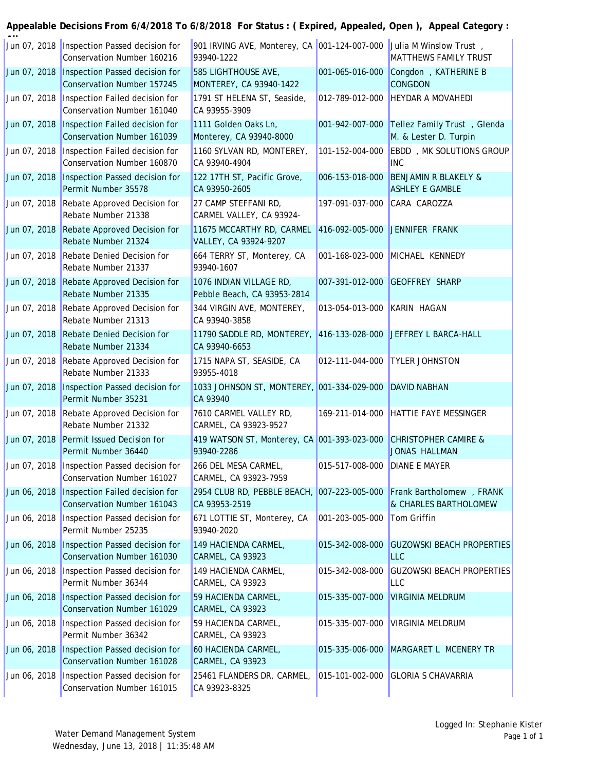|              | Jun 07, 2018 Inspection Passed decision for<br>Conservation Number 160216   | 901 IRVING AVE, Monterey, CA 001-124-007-000 Julia M Winslow Trust,<br>93940-1222     |                               | <b>MATTHEWS FAMILY TRUST</b>                              |
|--------------|-----------------------------------------------------------------------------|---------------------------------------------------------------------------------------|-------------------------------|-----------------------------------------------------------|
| Jun 07, 2018 | Inspection Passed decision for<br><b>Conservation Number 157245</b>         | 585 LIGHTHOUSE AVE,<br>MONTEREY, CA 93940-1422                                        | 001-065-016-000               | Congdon , KATHERINE B<br><b>CONGDON</b>                   |
|              | Jun 07, 2018   Inspection Failed decision for<br>Conservation Number 161040 | 1791 ST HELENA ST, Seaside,<br>CA 93955-3909                                          |                               | 012-789-012-000 HEYDAR A MOVAHEDI                         |
| Jun 07, 2018 | Inspection Failed decision for<br><b>Conservation Number 161039</b>         | 1111 Golden Oaks Ln,<br>Monterey, CA 93940-8000                                       | 001-942-007-000               | Tellez Family Trust, Glenda<br>M. & Lester D. Turpin      |
| Jun 07, 2018 | Inspection Failed decision for<br>Conservation Number 160870                | 1160 SYLVAN RD, MONTEREY,<br>CA 93940-4904                                            | 101-152-004-000               | EBDD, MK SOLUTIONS GROUP<br><b>INC</b>                    |
| Jun 07, 2018 | Inspection Passed decision for<br>Permit Number 35578                       | 122 17TH ST, Pacific Grove,<br>CA 93950-2605                                          | 006-153-018-000               | <b>BENJAMIN R BLAKELY &amp;</b><br><b>ASHLEY E GAMBLE</b> |
|              | Jun 07, 2018 Rebate Approved Decision for<br>Rebate Number 21338            | 27 CAMP STEFFANI RD,<br>CARMEL VALLEY, CA 93924-                                      | 197-091-037-000 CARA CAROZZA  |                                                           |
| Jun 07, 2018 | Rebate Approved Decision for<br>Rebate Number 21324                         | 11675 MCCARTHY RD, CARMEL 416-092-005-000 JENNIFER FRANK<br>VALLEY, CA 93924-9207     |                               |                                                           |
| Jun 07, 2018 | <b>Rebate Denied Decision for</b><br>Rebate Number 21337                    | 664 TERRY ST, Monterey, CA<br>93940-1607                                              |                               | 001-168-023-000 MICHAEL KENNEDY                           |
| Jun 07, 2018 | Rebate Approved Decision for<br>Rebate Number 21335                         | 1076 INDIAN VILLAGE RD,<br>Pebble Beach, CA 93953-2814                                | 007-391-012-000               | <b>GEOFFREY SHARP</b>                                     |
|              | Jun 07, 2018 Rebate Approved Decision for<br>Rebate Number 21313            | 344 VIRGIN AVE, MONTEREY,<br>CA 93940-3858                                            | 013-054-013-000 KARIN HAGAN   |                                                           |
| Jun 07, 2018 | <b>Rebate Denied Decision for</b><br>Rebate Number 21334                    | 11790 SADDLE RD, MONTEREY, 416-133-028-000 JEFFREY L BARCA-HALL<br>CA 93940-6653      |                               |                                                           |
| Jun 07, 2018 | Rebate Approved Decision for<br>Rebate Number 21333                         | 1715 NAPA ST, SEASIDE, CA<br>93955-4018                                               | 012-111-044-000               | <b>TYLER JOHNSTON</b>                                     |
| Jun 07, 2018 | Inspection Passed decision for<br>Permit Number 35231                       | 1033 JOHNSON ST, MONTEREY, 001-334-029-000 DAVID NABHAN<br>CA 93940                   |                               |                                                           |
|              | Jun 07, 2018 Rebate Approved Decision for<br>Rebate Number 21332            | 7610 CARMEL VALLEY RD,<br>CARMEL, CA 93923-9527                                       | 169-211-014-000               | <b>HATTIE FAYE MESSINGER</b>                              |
| Jun 07, 2018 | Permit Issued Decision for<br>Permit Number 36440                           | 419 WATSON ST, Monterey, CA 001-393-023-000<br>93940-2286                             |                               | <b>CHRISTOPHER CAMIRE &amp;</b><br><b>JONAS HALLMAN</b>   |
|              | Jun 07, 2018 Inspection Passed decision for<br>Conservation Number 161027   | 266 DEL MESA CARMEL,<br>CARMEL, CA 93923-7959                                         | 015-517-008-000 DIANE E MAYER |                                                           |
| Jun 06, 2018 | Inspection Failed decision for<br>Conservation Number 161043                | 2954 CLUB RD, PEBBLE BEACH, 007-223-005-000 Frank Bartholomew, FRANK<br>CA 93953-2519 |                               | & CHARLES BARTHOLOMEW                                     |
| Jun 06, 2018 | Inspection Passed decision for<br>Permit Number 25235                       | 671 LOTTIE ST, Monterey, CA<br>93940-2020                                             | 001-203-005-000               | Tom Griffin                                               |
| Jun 06, 2018 | Inspection Passed decision for<br>Conservation Number 161030                | 149 HACIENDA CARMEL,<br><b>CARMEL, CA 93923</b>                                       | 015-342-008-000               | <b>GUZOWSKI BEACH PROPERTIES</b><br><b>LLC</b>            |
| Jun 06, 2018 | Inspection Passed decision for<br>Permit Number 36344                       | 149 HACIENDA CARMEL,<br><b>CARMEL, CA 93923</b>                                       | 015-342-008-000               | <b>GUZOWSKI BEACH PROPERTIES</b><br><b>LLC</b>            |
| Jun 06, 2018 | <b>Inspection Passed decision for</b><br>Conservation Number 161029         | 59 HACIENDA CARMEL,<br><b>CARMEL, CA 93923</b>                                        | 015-335-007-000               | <b>VIRGINIA MELDRUM</b>                                   |
| Jun 06, 2018 | Inspection Passed decision for<br>Permit Number 36342                       | 59 HACIENDA CARMEL,<br><b>CARMEL, CA 93923</b>                                        | 015-335-007-000               | <b>VIRGINIA MELDRUM</b>                                   |
| Jun 06, 2018 | Inspection Passed decision for<br><b>Conservation Number 161028</b>         | 60 HACIENDA CARMEL,<br><b>CARMEL, CA 93923</b>                                        | 015-335-006-000               | MARGARET L MCENERY TR                                     |
| Jun 06, 2018 | Inspection Passed decision for<br>Conservation Number 161015                | 25461 FLANDERS DR, CARMEL,<br>CA 93923-8325                                           | 015-101-002-000               | <b>GLORIA S CHAVARRIA</b>                                 |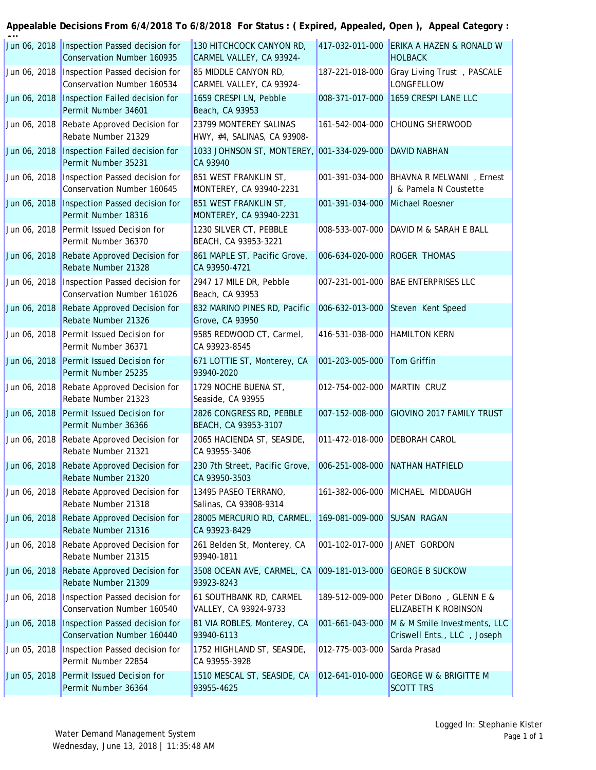| Jun 06, 2018 | Inspection Passed decision for<br><b>Conservation Number 160935</b> | 130 HITCHCOCK CANYON RD,<br>CARMEL VALLEY, CA 93924-   | 417-032-011-000 | ERIKA A HAZEN & RONALD W<br><b>HOLBACK</b>                  |
|--------------|---------------------------------------------------------------------|--------------------------------------------------------|-----------------|-------------------------------------------------------------|
| Jun 06, 2018 | Inspection Passed decision for<br>Conservation Number 160534        | 85 MIDDLE CANYON RD,<br>CARMEL VALLEY, CA 93924-       | 187-221-018-000 | Gray Living Trust, PASCALE<br><b>LONGFELLOW</b>             |
| Jun 06, 2018 | Inspection Failed decision for<br>Permit Number 34601               | 1659 CRESPI LN, Pebble<br>Beach, CA 93953              | 008-371-017-000 | 1659 CRESPI LANE LLC                                        |
| Jun 06, 2018 | Rebate Approved Decision for<br>Rebate Number 21329                 | 23799 MONTEREY SALINAS<br>HWY, #4, SALINAS, CA 93908-  | 161-542-004-000 | <b>CHOUNG SHERWOOD</b>                                      |
| Jun 06, 2018 | Inspection Failed decision for<br>Permit Number 35231               | 1033 JOHNSON ST, MONTEREY, 001-334-029-000<br>CA 93940 |                 | <b>DAVID NABHAN</b>                                         |
| Jun 06, 2018 | Inspection Passed decision for<br>Conservation Number 160645        | 851 WEST FRANKLIN ST,<br>MONTEREY, CA 93940-2231       | 001-391-034-000 | <b>BHAVNA R MELWANI</b> , Ernest<br>J & Pamela N Coustette  |
| Jun 06, 2018 | Inspection Passed decision for<br>Permit Number 18316               | 851 WEST FRANKLIN ST,<br>MONTEREY, CA 93940-2231       | 001-391-034-000 | Michael Roesner                                             |
| Jun 06, 2018 | Permit Issued Decision for<br>Permit Number 36370                   | 1230 SILVER CT, PEBBLE<br>BEACH, CA 93953-3221         | 008-533-007-000 | DAVID M & SARAH E BALL                                      |
| Jun 06, 2018 | Rebate Approved Decision for<br>Rebate Number 21328                 | 861 MAPLE ST, Pacific Grove,<br>CA 93950-4721          | 006-634-020-000 | <b>ROGER THOMAS</b>                                         |
| Jun 06, 2018 | Inspection Passed decision for<br>Conservation Number 161026        | 2947 17 MILE DR, Pebble<br>Beach, CA 93953             | 007-231-001-000 | <b>BAE ENTERPRISES LLC</b>                                  |
| Jun 06, 2018 | Rebate Approved Decision for<br>Rebate Number 21326                 | 832 MARINO PINES RD, Pacific<br>Grove, CA 93950        | 006-632-013-000 | Steven Kent Speed                                           |
| Jun 06, 2018 | Permit Issued Decision for<br>Permit Number 36371                   | 9585 REDWOOD CT, Carmel,<br>CA 93923-8545              | 416-531-038-000 | <b>HAMILTON KERN</b>                                        |
| Jun 06, 2018 | Permit Issued Decision for<br>Permit Number 25235                   | 671 LOTTIE ST, Monterey, CA<br>93940-2020              | 001-203-005-000 | <b>Tom Griffin</b>                                          |
| Jun 06, 2018 | Rebate Approved Decision for<br>Rebate Number 21323                 | 1729 NOCHE BUENA ST,<br>Seaside, CA 93955              | 012-754-002-000 | MARTIN CRUZ                                                 |
| Jun 06, 2018 | Permit Issued Decision for<br>Permit Number 36366                   | 2826 CONGRESS RD, PEBBLE<br>BEACH, CA 93953-3107       | 007-152-008-000 | <b>GIOVINO 2017 FAMILY TRUST</b>                            |
| Jun 06, 2018 | Rebate Approved Decision for<br>Rebate Number 21321                 | 2065 HACIENDA ST, SEASIDE,<br>CA 93955-3406            | 011-472-018-000 | <b>DEBORAH CAROL</b>                                        |
| Jun 06, 2018 | Rebate Approved Decision for<br>Rebate Number 21320                 | 230 7th Street, Pacific Grove,<br>CA 93950-3503        | 006-251-008-000 | NATHAN HATFIELD                                             |
| Jun 06, 2018 | Rebate Approved Decision for<br>Rebate Number 21318                 | 13495 PASEO TERRANO,<br>Salinas, CA 93908-9314         | 161-382-006-000 | MICHAEL MIDDAUGH                                            |
| Jun 06, 2018 | Rebate Approved Decision for<br>Rebate Number 21316                 | 28005 MERCURIO RD, CARMEL,<br>CA 93923-8429            | 169-081-009-000 | <b>SUSAN RAGAN</b>                                          |
| Jun 06, 2018 | Rebate Approved Decision for<br>Rebate Number 21315                 | 261 Belden St, Monterey, CA<br>93940-1811              | 001-102-017-000 | JANET GORDON                                                |
| Jun 06, 2018 | Rebate Approved Decision for<br>Rebate Number 21309                 | 3508 OCEAN AVE, CARMEL, CA<br>93923-8243               | 009-181-013-000 | <b>GEORGE B SUCKOW</b>                                      |
| Jun 06, 2018 | Inspection Passed decision for<br>Conservation Number 160540        | 61 SOUTHBANK RD, CARMEL<br>VALLEY, CA 93924-9733       | 189-512-009-000 | Peter DiBono, GLENN E &<br>ELIZABETH K ROBINSON             |
| Jun 06, 2018 | Inspection Passed decision for<br>Conservation Number 160440        | 81 VIA ROBLES, Monterey, CA<br>93940-6113              | 001-661-043-000 | M & M Smile Investments, LLC<br>Criswell Ents., LLC, Joseph |
| Jun 05, 2018 | Inspection Passed decision for<br>Permit Number 22854               | 1752 HIGHLAND ST, SEASIDE,<br>CA 93955-3928            | 012-775-003-000 | Sarda Prasad                                                |
| Jun 05, 2018 | Permit Issued Decision for<br>Permit Number 36364                   | 1510 MESCAL ST, SEASIDE, CA<br>93955-4625              | 012-641-010-000 | <b>GEORGE W &amp; BRIGITTE M</b><br><b>SCOTT TRS</b>        |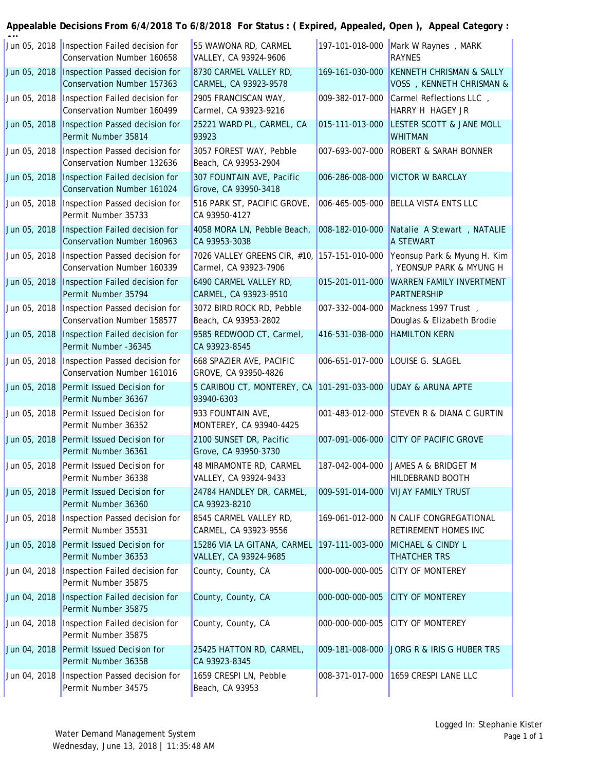| Jun 05, 2018 | Inspection Failed decision for<br>Conservation Number 160658        | 55 WAWONA RD, CARMEL<br>VALLEY, CA 93924-9606                         | 197-101-018-000 | Mark W Raynes, MARK<br><b>RAYNES</b>                             |
|--------------|---------------------------------------------------------------------|-----------------------------------------------------------------------|-----------------|------------------------------------------------------------------|
| Jun 05, 2018 | Inspection Passed decision for<br><b>Conservation Number 157363</b> | 8730 CARMEL VALLEY RD,<br>CARMEL, CA 93923-9578                       | 169-161-030-000 | <b>KENNETH CHRISMAN &amp; SALLY</b><br>VOSS , KENNETH CHRISMAN & |
| Jun 05, 2018 | Inspection Failed decision for<br>Conservation Number 160499        | 2905 FRANCISCAN WAY,<br>Carmel, CA 93923-9216                         | 009-382-017-000 | Carmel Reflections LLC,<br>HARRY H HAGEY JR                      |
| Jun 05, 2018 | Inspection Passed decision for<br>Permit Number 35814               | 25221 WARD PL, CARMEL, CA<br>93923                                    | 015-111-013-000 | LESTER SCOTT & JANE MOLL<br><b>WHITMAN</b>                       |
| Jun 05, 2018 | Inspection Passed decision for<br>Conservation Number 132636        | 3057 FOREST WAY, Pebble<br>Beach, CA 93953-2904                       | 007-693-007-000 | <b>ROBERT &amp; SARAH BONNER</b>                                 |
| Jun 05, 2018 | Inspection Failed decision for<br><b>Conservation Number 161024</b> | 307 FOUNTAIN AVE, Pacific<br>Grove, CA 93950-3418                     | 006-286-008-000 | <b>VICTOR W BARCLAY</b>                                          |
| Jun 05, 2018 | Inspection Passed decision for<br>Permit Number 35733               | 516 PARK ST, PACIFIC GROVE,<br>CA 93950-4127                          | 006-465-005-000 | <b>BELLA VISTA ENTS LLC</b>                                      |
| Jun 05, 2018 | Inspection Failed decision for<br><b>Conservation Number 160963</b> | 4058 MORA LN, Pebble Beach,<br>CA 93953-3038                          | 008-182-010-000 | Natalie A Stewart, NATALIE<br>A STEWART                          |
| Jun 05, 2018 | Inspection Passed decision for<br>Conservation Number 160339        | 7026 VALLEY GREENS CIR, #10, 157-151-010-000<br>Carmel, CA 93923-7906 |                 | Yeonsup Park & Myung H. Kim<br>, YEONSUP PARK & MYUNG H          |
| Jun 05, 2018 | Inspection Failed decision for<br>Permit Number 35794               | 6490 CARMEL VALLEY RD,<br>CARMEL, CA 93923-9510                       | 015-201-011-000 | <b>WARREN FAMILY INVERTMENT</b><br><b>PARTNERSHIP</b>            |
| Jun 05, 2018 | Inspection Passed decision for<br>Conservation Number 158577        | 3072 BIRD ROCK RD, Pebble<br>Beach, CA 93953-2802                     | 007-332-004-000 | Mackness 1997 Trust,<br>Douglas & Elizabeth Brodie               |
| Jun 05, 2018 | Inspection Failed decision for<br>Permit Number -36345              | 9585 REDWOOD CT, Carmel,<br>CA 93923-8545                             | 416-531-038-000 | <b>HAMILTON KERN</b>                                             |
| Jun 05, 2018 | Inspection Passed decision for<br>Conservation Number 161016        | 668 SPAZIER AVE, PACIFIC<br>GROVE, CA 93950-4826                      | 006-651-017-000 | LOUISE G. SLAGEL                                                 |
| Jun 05, 2018 | Permit Issued Decision for<br>Permit Number 36367                   | 5 CARIBOU CT, MONTEREY, CA<br>93940-6303                              | 101-291-033-000 | <b>UDAY &amp; ARUNA APTE</b>                                     |
| Jun 05, 2018 | Permit Issued Decision for<br>Permit Number 36352                   | 933 FOUNTAIN AVE,<br>MONTEREY, CA 93940-4425                          | 001-483-012-000 | <b>STEVEN R &amp; DIANA C GURTIN</b>                             |
| Jun 05, 2018 | Permit Issued Decision for<br>Permit Number 36361                   | 2100 SUNSET DR, Pacific<br>Grove, CA 93950-3730                       | 007-091-006-000 | <b>CITY OF PACIFIC GROVE</b>                                     |
|              | Jun 05, 2018 Permit Issued Decision for<br>Permit Number 36338      | 48 MIRAMONTE RD, CARMEL<br>VALLEY, CA 93924-9433                      |                 | 187-042-004-000 JAMES A & BRIDGET M<br>HILDEBRAND BOOTH          |
| Jun 05, 2018 | Permit Issued Decision for<br>Permit Number 36360                   | 24784 HANDLEY DR, CARMEL,<br>CA 93923-8210                            | 009-591-014-000 | <b>VIJAY FAMILY TRUST</b>                                        |
| Jun 05, 2018 | Inspection Passed decision for<br>Permit Number 35531               | 8545 CARMEL VALLEY RD,<br>CARMEL, CA 93923-9556                       | 169-061-012-000 | N CALIF CONGREGATIONAL<br><b>RETIREMENT HOMES INC</b>            |
| Jun 05, 2018 | Permit Issued Decision for<br>Permit Number 36353                   | 15286 VIA LA GITANA, CARMEL 197-111-003-000<br>VALLEY, CA 93924-9685  |                 | MICHAEL & CINDY L<br><b>THATCHER TRS</b>                         |
| Jun 04, 2018 | Inspection Failed decision for<br>Permit Number 35875               | County, County, CA                                                    | 000-000-000-005 | <b>CITY OF MONTEREY</b>                                          |
| Jun 04, 2018 | Inspection Failed decision for<br>Permit Number 35875               | County, County, CA                                                    | 000-000-000-005 | <b>CITY OF MONTEREY</b>                                          |
| Jun 04, 2018 | Inspection Failed decision for<br>Permit Number 35875               | County, County, CA                                                    | 000-000-000-005 | <b>CITY OF MONTEREY</b>                                          |
| Jun 04, 2018 | Permit Issued Decision for<br>Permit Number 36358                   | 25425 HATTON RD, CARMEL,<br>CA 93923-8345                             | 009-181-008-000 | JORG R & IRIS G HUBER TRS                                        |
| Jun 04, 2018 | Inspection Passed decision for<br>Permit Number 34575               | 1659 CRESPI LN, Pebble<br>Beach, CA 93953                             | 008-371-017-000 | 1659 CRESPI LANE LLC                                             |